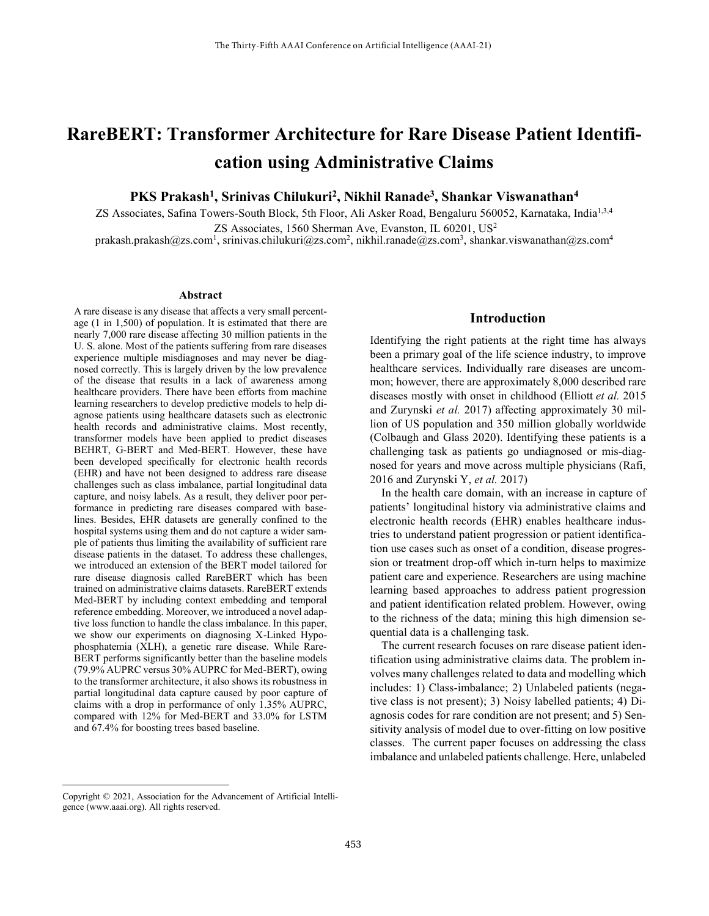# **RareBERT: Transformer Architecture for Rare Disease Patient Identification using Administrative Claims**

## **PKS Prakash<sup>1</sup> , Srinivas Chilukuri<sup>2</sup> , Nikhil Ranade<sup>3</sup> , Shankar Viswanathan<sup>4</sup>**

ZS Associates, Safina Towers-South Block, 5th Floor, Ali Asker Road, Bengaluru 560052, Karnataka, India<sup>1,3,4</sup> ZS Associates, 1560 Sherman Ave, Evanston, IL 60201, US<sup>2</sup>

[prakash.prakash@zs.com](mailto:prakash.prakash@zs.com)<sup>1</sup>, [srinivas.chilukuri@zs.com](mailto:srinivas.chilukuri@zs.com)<sup>2</sup>[, nikhil.ranade@zs.com](mailto:nikhil.ranade@zs.com)<sup>3</sup>, [shankar.viswanathan@zs.com](mailto:shankar.viswanathan@zs.com)<sup>4</sup>

#### **Abstract**

A rare disease is any disease that affects a very small percentage (1 in 1,500) of population. It is estimated that there are nearly 7,000 rare disease affecting 30 million patients in the U. S. alone. Most of the patients suffering from rare diseases experience multiple misdiagnoses and may never be diagnosed correctly. This is largely driven by the low prevalence of the disease that results in a lack of awareness among healthcare providers. There have been efforts from machine learning researchers to develop predictive models to help diagnose patients using healthcare datasets such as electronic health records and administrative claims. Most recently, transformer models have been applied to predict diseases BEHRT, G-BERT and Med-BERT. However, these have been developed specifically for electronic health records (EHR) and have not been designed to address rare disease challenges such as class imbalance, partial longitudinal data capture, and noisy labels. As a result, they deliver poor performance in predicting rare diseases compared with baselines. Besides, EHR datasets are generally confined to the hospital systems using them and do not capture a wider sample of patients thus limiting the availability of sufficient rare disease patients in the dataset. To address these challenges, we introduced an extension of the BERT model tailored for rare disease diagnosis called RareBERT which has been trained on administrative claims datasets. RareBERT extends Med-BERT by including context embedding and temporal reference embedding. Moreover, we introduced a novel adaptive loss function to handle the class imbalance. In this paper, we show our experiments on diagnosing X-Linked Hypophosphatemia (XLH), a genetic rare disease. While Rare-BERT performs significantly better than the baseline models (79.9% AUPRC versus 30% AUPRC for Med-BERT), owing to the transformer architecture, it also shows its robustness in partial longitudinal data capture caused by poor capture of claims with a drop in performance of only 1.35% AUPRC, compared with 12% for Med-BERT and 33.0% for LSTM and 67.4% for boosting trees based baseline. †

## **Introduction**

Identifying the right patients at the right time has always been a primary goal of the life science industry, to improve healthcare services. Individually rare diseases are uncommon; however, there are approximately 8,000 described rare diseases mostly with onset in childhood (Elliott *et al.* 2015 and Zurynski *et al.* 2017) affecting approximately 30 million of US population and 350 million globally worldwide (Colbaugh and Glass 2020). Identifying these patients is a challenging task as patients go undiagnosed or mis-diagnosed for years and move across multiple physicians (Rafi, 2016 and Zurynski Y, *et al.* 2017)

In the health care domain, with an increase in capture of patients' longitudinal history via administrative claims and electronic health records (EHR) enables healthcare industries to understand patient progression or patient identification use cases such as onset of a condition, disease progression or treatment drop-off which in-turn helps to maximize patient care and experience. Researchers are using machine learning based approaches to address patient progression and patient identification related problem. However, owing to the richness of the data; mining this high dimension sequential data is a challenging task.

The current research focuses on rare disease patient identification using administrative claims data. The problem involves many challenges related to data and modelling which includes: 1) Class-imbalance; 2) Unlabeled patients (negative class is not present); 3) Noisy labelled patients; 4) Diagnosis codes for rare condition are not present; and 5) Sensitivity analysis of model due to over-fitting on low positive classes. The current paper focuses on addressing the class imbalance and unlabeled patients challenge. Here, unlabeled

 $\overline{a}$ 

Copyright © 2021, Association for the Advancement of Artificial Intelligence (www.aaai.org). All rights reserved.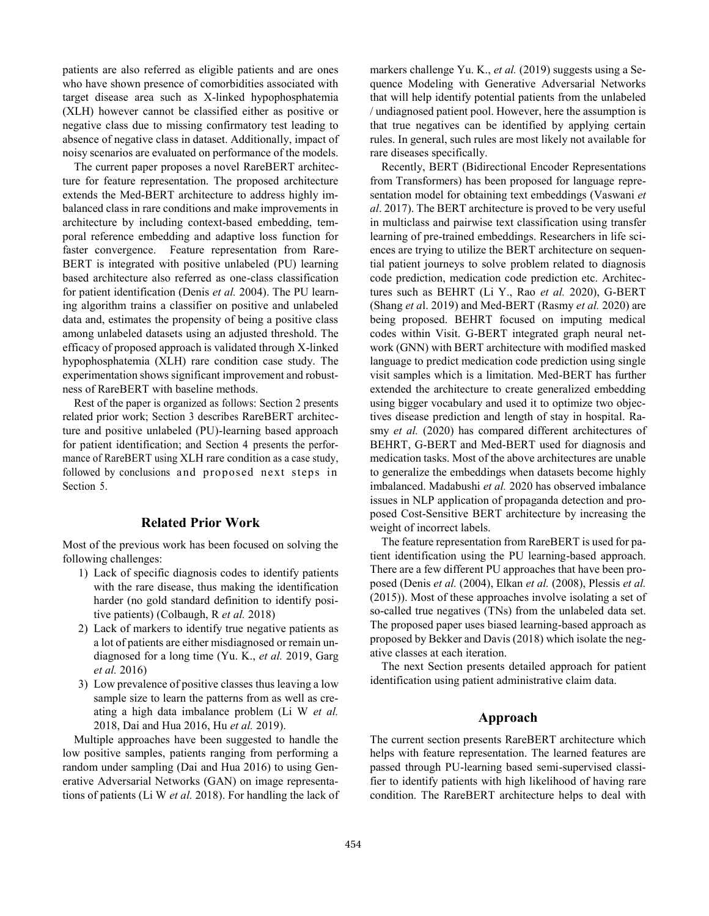patients are also referred as eligible patients and are ones who have shown presence of comorbidities associated with target disease area such as X-linked hypophosphatemia (XLH) however cannot be classified either as positive or negative class due to missing confirmatory test leading to absence of negative class in dataset. Additionally, impact of noisy scenarios are evaluated on performance of the models.

The current paper proposes a novel RareBERT architecture for feature representation. The proposed architecture extends the Med-BERT architecture to address highly imbalanced class in rare conditions and make improvements in architecture by including context-based embedding, temporal reference embedding and adaptive loss function for faster convergence. Feature representation from Rare-BERT is integrated with positive unlabeled (PU) learning based architecture also referred as one-class classification for patient identification (Denis *et al.* 2004). The PU learning algorithm trains a classifier on positive and unlabeled data and, estimates the propensity of being a positive class among unlabeled datasets using an adjusted threshold. The efficacy of proposed approach is validated through X-linked hypophosphatemia (XLH) rare condition case study. The experimentation shows significant improvement and robustness of RareBERT with baseline methods.

Rest of the paper is organized as follows: Section 2 presents related prior work; Section 3 describes RareBERT architecture and positive unlabeled (PU)-learning based approach for patient identification; and Section 4 presents the performance of RareBERT using XLH rare condition as a case study, followed by conclusions and proposed next steps in Section 5.

## **Related Prior Work**

Most of the previous work has been focused on solving the following challenges:

- 1) Lack of specific diagnosis codes to identify patients with the rare disease, thus making the identification harder (no gold standard definition to identify positive patients) (Colbaugh, R *et al.* 2018)
- 2) Lack of markers to identify true negative patients as a lot of patients are either misdiagnosed or remain undiagnosed for a long time (Yu. K., *et al.* 2019, Garg *et al.* 2016)
- 3) Low prevalence of positive classes thus leaving a low sample size to learn the patterns from as well as creating a high data imbalance problem (Li W *et al.* 2018, Dai and Hua 2016, Hu *et al.* 2019).

Multiple approaches have been suggested to handle the low positive samples, patients ranging from performing a random under sampling (Dai and Hua 2016) to using Generative Adversarial Networks (GAN) on image representations of patients (Li W *et al.* 2018). For handling the lack of

markers challenge Yu. K., *et al.* (2019) suggests using a Sequence Modeling with Generative Adversarial Networks that will help identify potential patients from the unlabeled / undiagnosed patient pool. However, here the assumption is that true negatives can be identified by applying certain rules. In general, such rules are most likely not available for rare diseases specifically.

Recently, BERT (Bidirectional Encoder Representations from Transformers) has been proposed for language representation model for obtaining text embeddings (Vaswani *et al*. 2017). The BERT architecture is proved to be very useful in multiclass and pairwise text classification using transfer learning of pre-trained embeddings. Researchers in life sciences are trying to utilize the BERT architecture on sequential patient journeys to solve problem related to diagnosis code prediction, medication code prediction etc. Architectures such as BEHRT (Li Y., Rao *et al.* 2020), G-BERT (Shang *et a*l. 2019) and Med-BERT (Rasmy *et al.* 2020) are being proposed. BEHRT focused on imputing medical codes within Visit. G-BERT integrated graph neural network (GNN) with BERT architecture with modified masked language to predict medication code prediction using single visit samples which is a limitation. Med-BERT has further extended the architecture to create generalized embedding using bigger vocabulary and used it to optimize two objectives disease prediction and length of stay in hospital. Rasmy *et al.* (2020) has compared different architectures of BEHRT, G-BERT and Med-BERT used for diagnosis and medication tasks. Most of the above architectures are unable to generalize the embeddings when datasets become highly imbalanced. Madabushi *et al.* 2020 has observed imbalance issues in NLP application of propaganda detection and proposed Cost-Sensitive BERT architecture by increasing the weight of incorrect labels.

The feature representation from RareBERT is used for patient identification using the PU learning-based approach. There are a few different PU approaches that have been proposed (Denis *et al.* (2004), Elkan *et al.* (2008), Plessis *et al.*  (2015)). Most of these approaches involve isolating a set of so-called true negatives (TNs) from the unlabeled data set. The proposed paper uses biased learning-based approach as proposed by Bekker and Davis (2018) which isolate the negative classes at each iteration.

The next Section presents detailed approach for patient identification using patient administrative claim data.

#### **Approach**

The current section presents RareBERT architecture which helps with feature representation. The learned features are passed through PU-learning based semi-supervised classifier to identify patients with high likelihood of having rare condition. The RareBERT architecture helps to deal with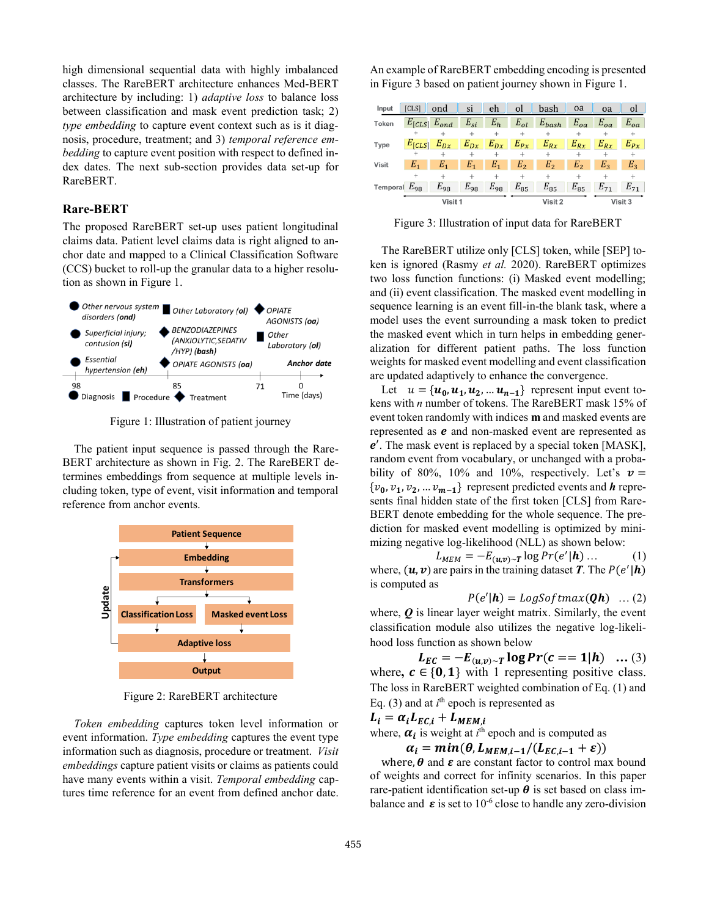high dimensional sequential data with highly imbalanced classes. The RareBERT architecture enhances Med-BERT architecture by including: 1) *adaptive loss* to balance loss between classification and mask event prediction task; 2) *type embedding* to capture event context such as is it diagnosis, procedure, treatment; and 3) *temporal reference embedding* to capture event position with respect to defined index dates. The next sub-section provides data set-up for RareBERT.

### **Rare-BERT**

The proposed RareBERT set-up uses patient longitudinal claims data. Patient level claims data is right aligned to anchor date and mapped to a Clinical Classification Software (CCS) bucket to roll-up the granular data to a higher resolution as shown in Figure 1.



Figure 1: Illustration of patient journey

The patient input sequence is passed through the Rare-BERT architecture as shown in Fig. 2. The RareBERT determines embeddings from sequence at multiple levels including token, type of event, visit information and temporal reference from anchor events.



Figure 2: RareBERT architecture

*Token embedding* captures token level information or event information. *Type embedding* captures the event type information such as diagnosis, procedure or treatment. *Visit embeddings* capture patient visits or claims as patients could have many events within a visit. *Temporal embedding* captures time reference for an event from defined anchor date. An example of RareBERT embedding encoding is presented in Figure 3 based on patient journey shown in Figure 1.

| Input             | <b>[CLS]</b>          | ond      | si       | eh       | <sub>o</sub> l | bash           | oa             | oa       | <sub>o</sub> |
|-------------------|-----------------------|----------|----------|----------|----------------|----------------|----------------|----------|--------------|
| <b>Token</b>      | $E_{[CLS]}$ $E_{ond}$ |          | $E_{si}$ | $E_h$    | $E_{ol}$       | $E_{bash}$     | $E_{oa}$       | $E_{oa}$ | $E_{oa}$     |
|                   |                       |          |          |          |                |                |                |          |              |
| Type              | $E_{[CLS]}$           | $E_{Dx}$ | $E_{Dx}$ | $E_{Dx}$ | $E_{Px}$       | $E_{Rx}$       | $E_{Rx}$       | $E_{Rx}$ | $E_{Px}$     |
|                   | ÷                     | $^{+}$   | $^{+}$   | $^{+}$   | $^{+}$         | $^{+}$         | $^{+}$         | $\pm$    | $^+$         |
| <b>Visit</b>      | $E_{1}$               | $E_{1}$  | $E_{1}$  | Ε,       | E,             | E <sub>2</sub> | E <sub>2</sub> | $E_{2}$  | $E_3$        |
|                   | $^{+}$                |          |          | $^{+}$   | $^{+}$         |                |                |          |              |
| Temporal $E_{98}$ |                       | $E_{98}$ | $E_{98}$ | $E_{98}$ | $E_{85}$       | $E_{85}$       | $E_{85}$       | $E_{71}$ | $E_{71}$     |
| Visit 1           |                       |          |          | Visit 2  |                |                | Visit 3        |          |              |

Figure 3: Illustration of input data for RareBERT

The RareBERT utilize only [CLS] token, while [SEP] token is ignored (Rasmy *et al.* 2020). RareBERT optimizes two loss function functions: (i) Masked event modelling; and (ii) event classification. The masked event modelling in sequence learning is an event fill-in-the blank task, where a model uses the event surrounding a mask token to predict the masked event which in turn helps in embedding generalization for different patient paths. The loss function weights for masked event modelling and event classification are updated adaptively to enhance the convergence.

Let  $u = {\mathbf{u}_0, \mathbf{u}_1, \mathbf{u}_2, \dots, \mathbf{u}_{n-1}}$  represent input event tokens with *n* number of tokens. The RareBERT mask 15% of event token randomly with indices **m** and masked events are represented as  $e$  and non-masked event are represented as  $e'$ . The mask event is replaced by a special token [MASK], random event from vocabulary, or unchanged with a probability of 80%, 10% and 10%, respectively. Let's  $v =$  $\{v_0, v_1, v_2, \dots v_{m-1}\}$  represent predicted events and *h* represents final hidden state of the first token [CLS] from Rare-BERT denote embedding for the whole sequence. The prediction for masked event modelling is optimized by minimizing negative log-likelihood (NLL) as shown below:

$$
L_{MEM} = -E_{(u,v)\sim T} \log Pr(e'|\mathbf{h}) \dots \tag{1}
$$

where,  $(u, v)$  are pairs in the training dataset *T*. The  $P(e'|h)$ is computed as

$$
P(e'|h) = LogSoftmax(\boldsymbol{Q}h) \dots (2)
$$

where, *Q* is linear layer weight matrix. Similarly, the event classification module also utilizes the negative log-likelihood loss function as shown below

 $L_{EC} = -E_{(u,v)\sim T} \log Pr(c == 1 | h) \dots (3)$ where,  $c \in \{0, 1\}$  with 1 representing positive class. The loss in RareBERT weighted combination of Eq. (1) and Eq.  $(3)$  and at  $i<sup>th</sup>$  epoch is represented as

$$
L_i = \alpha_i L_{EC,i} + L_{MEM,i}
$$

where,  $\alpha_i$  is weight at  $i^{\text{th}}$  epoch and is computed as

 $\alpha_i = min(\theta, L_{MEM,i-1}/(L_{EC,i-1} + \varepsilon))$ 

where,  $\theta$  and  $\varepsilon$  are constant factor to control max bound of weights and correct for infinity scenarios. In this paper rare-patient identification set-up  $\theta$  is set based on class imbalance and  $\varepsilon$  is set to 10<sup>-6</sup> close to handle any zero-division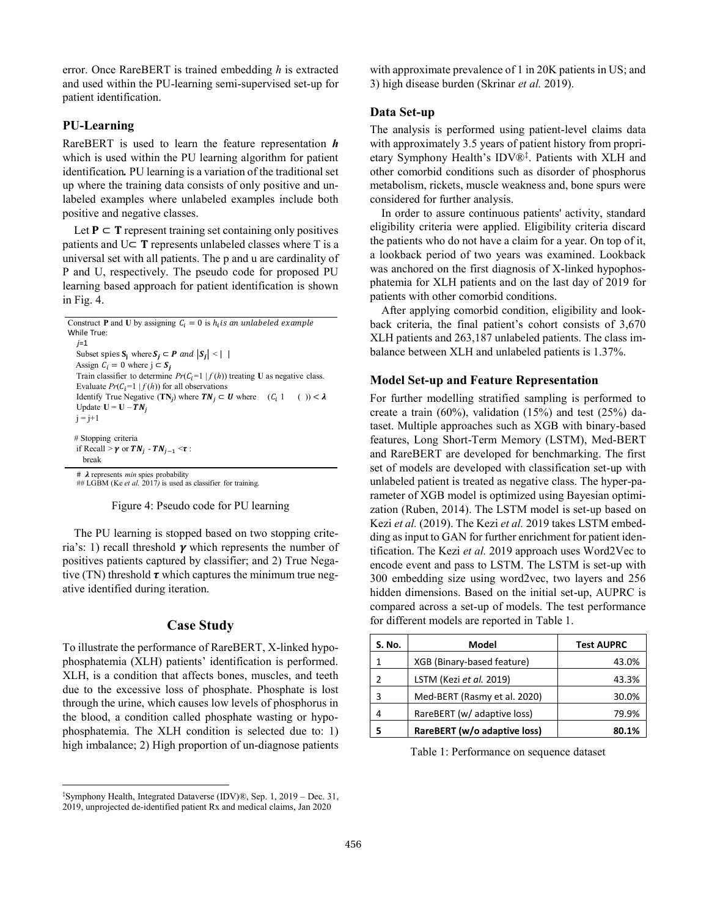error. Once RareBERT is trained embedding *h* is extracted and used within the PU-learning semi-supervised set-up for patient identification.

## **PU-Learning**

RareBERT is used to learn the feature representation *h* which is used within the PU learning algorithm for patient identification*.* PU learning is a variation of the traditional set up where the training data consists of only positive and unlabeled examples where unlabeled examples include both positive and negative classes.

Let  $P \subset T$  represent training set containing only positives patients and  $U\subset T$  represents unlabeled classes where T is a universal set with all patients. The p and u are cardinality of P and U, respectively. The pseudo code for proposed PU learning based approach for patient identification is shown in Fig. 4.

```
Construct P and U by assigning C_i = 0 is h_i is an unlabeled example
While True:
   j=1 
   Subset spies S_i where S_i \subset P and |S_i| \leq |I|Assign C_i = 0 where j \subset S_iTrain classifier to determine Pr(C_i=1 | f(h)) treating U as negative class. Evaluate Pr(C_i=1 | f(h)) for all observations
   Identify True Negative (TN<sub>j</sub>) where TN_j \subset U where (C_i 1 \t( ) ) \subsetUpdate U = U - TN_ij = j+1# Stopping criteria
   if Recall > \gamma or TN_j - TN_{j-1} \leq \tau:
     break
   # \lambda represents min spies probability
```
## LGBM (Ke *et al.* 2017) is used as classifier for training.

Figure 4: Pseudo code for PU learning

The PU learning is stopped based on two stopping criteria's: 1) recall threshold  $\gamma$  which represents the number of positives patients captured by classifier; and 2) True Negative (TN) threshold  $\tau$  which captures the minimum true negative identified during iteration.

#### **Case Study**

To illustrate the performance of RareBERT, X-linked hypophosphatemia (XLH) patients' identification is performed. XLH, is a condition that affects bones, muscles, and teeth due to the excessive loss of phosphate. Phosphate is lost through the urine, which causes low levels of phosphorus in the blood, a condition called phosphate wasting or hypophosphatemia. The XLH condition is selected due to: 1) high imbalance; 2) High proportion of un-diagnose patients

 $\overline{a}$ 

with approximate prevalence of 1 in 20K patients in US; and 3) high disease burden (Skrinar *et al.* 2019).

#### **Data Set-up**

The analysis is performed using patient-level claims data with approximately 3.5 years of patient history from proprietary Symphony Health's IDV®‡ . Patients with XLH and other comorbid conditions such as disorder of phosphorus metabolism, rickets, muscle weakness and, bone spurs were considered for further analysis.

In order to assure continuous patients' activity, standard eligibility criteria were applied. Eligibility criteria discard the patients who do not have a claim for a year. On top of it, a lookback period of two years was examined. Lookback was anchored on the first diagnosis of X-linked hypophosphatemia for XLH patients and on the last day of 2019 for patients with other comorbid conditions.

After applying comorbid condition, eligibility and lookback criteria, the final patient's cohort consists of 3,670 XLH patients and 263,187 unlabeled patients. The class imbalance between XLH and unlabeled patients is 1.37%.

#### **Model Set-up and Feature Representation**

For further modelling stratified sampling is performed to create a train (60%), validation (15%) and test (25%) dataset. Multiple approaches such as XGB with binary-based features, Long Short-Term Memory (LSTM), Med-BERT and RareBERT are developed for benchmarking. The first set of models are developed with classification set-up with unlabeled patient is treated as negative class. The hyper-parameter of XGB model is optimized using Bayesian optimization (Ruben, 2014). The LSTM model is set-up based on Kezi *et al.* (2019). The Kezi *et al.* 2019 takes LSTM embedding as input to GAN for further enrichment for patient identification. The Kezi *et al.* 2019 approach uses Word2Vec to encode event and pass to LSTM. The LSTM is set-up with 300 embedding size using word2vec, two layers and 256 hidden dimensions. Based on the initial set-up, AUPRC is compared across a set-up of models. The test performance for different models are reported in Table 1.

| S. No. | Model                        | <b>Test AUPRC</b> |
|--------|------------------------------|-------------------|
|        | XGB (Binary-based feature)   | 43.0%             |
| 2      | LSTM (Kezi et al. 2019)      | 43.3%             |
| 3      | Med-BERT (Rasmy et al. 2020) | 30.0%             |
| 4      | RareBERT (w/ adaptive loss)  | 79.9%             |
| 5      | RareBERT (w/o adaptive loss) | 80.1%             |

Table 1: Performance on sequence dataset

<sup>‡</sup>Symphony Health, Integrated Dataverse (IDV)®, Sep. 1, 2019 – Dec. 31, 2019, unprojected de-identified patient Rx and medical claims, Jan 2020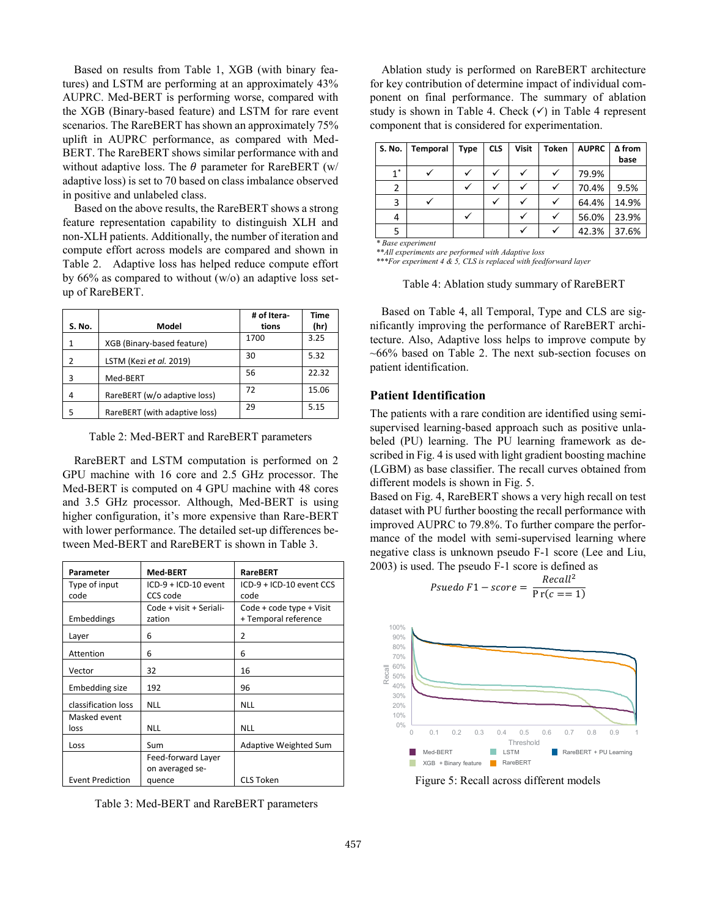Based on results from Table 1, XGB (with binary features) and LSTM are performing at an approximately 43% AUPRC. Med-BERT is performing worse, compared with the XGB (Binary-based feature) and LSTM for rare event scenarios. The RareBERT has shown an approximately 75% uplift in AUPRC performance, as compared with Med-BERT. The RareBERT shows similar performance with and without adaptive loss. The  $\theta$  parameter for RareBERT (w/ adaptive loss) is set to 70 based on class imbalance observed in positive and unlabeled class.

Based on the above results, the RareBERT shows a strong feature representation capability to distinguish XLH and non-XLH patients. Additionally, the number of iteration and compute effort across models are compared and shown in Table 2. Adaptive loss has helped reduce compute effort by  $66\%$  as compared to without (w/o) an adaptive loss setup of RareBERT.

|        |                               | # of Itera- | <b>Time</b> |
|--------|-------------------------------|-------------|-------------|
| S. No. | Model                         | tions       | (hr)        |
|        | XGB (Binary-based feature)    | 1700        | 3.25        |
| 2      | LSTM (Kezi et al. 2019)       | 30          | 5.32        |
| 3      | Med-BERT                      | 56          | 22.32       |
| 4      | RareBERT (w/o adaptive loss)  | 72          | 15.06       |
| 5      | RareBERT (with adaptive loss) | 29          | 5.15        |

Table 2: Med-BERT and RareBERT parameters

RareBERT and LSTM computation is performed on 2 GPU machine with 16 core and 2.5 GHz processor. The Med-BERT is computed on 4 GPU machine with 48 cores and 3.5 GHz processor. Although, Med-BERT is using higher configuration, it's more expensive than Rare-BERT with lower performance. The detailed set-up differences between Med-BERT and RareBERT is shown in Table 3.

| Parameter               | <b>Med-BERT</b>         | <b>RareBERT</b>              |  |
|-------------------------|-------------------------|------------------------------|--|
| Type of input           | ICD-9 + ICD-10 event    | ICD-9 + ICD-10 event CCS     |  |
| code                    | CCS code                | code                         |  |
|                         | Code + visit + Seriali- | Code + code type + Visit     |  |
| Embeddings              | zation                  | + Temporal reference         |  |
| Layer                   | 6                       | 2                            |  |
| Attention               | 6                       | 6                            |  |
| Vector                  | 32                      | 16                           |  |
| Embedding size          | 192                     | 96                           |  |
| classification loss     | <b>NLL</b>              | <b>NLL</b>                   |  |
| Masked event            |                         |                              |  |
| loss                    | <b>NLL</b>              | <b>NLL</b>                   |  |
| Loss                    | Sum                     | <b>Adaptive Weighted Sum</b> |  |
|                         | Feed-forward Layer      |                              |  |
|                         | on averaged se-         |                              |  |
| <b>Event Prediction</b> | quence                  | <b>CLS Token</b>             |  |

Table 3: Med-BERT and RareBERT parameters

Ablation study is performed on RareBERT architecture for key contribution of determine impact of individual component on final performance. The summary of ablation study is shown in Table 4. Check  $(\checkmark)$  in Table 4 represent component that is considered for experimentation.

| S. No. | Temporal | <b>Type</b> | <b>CLS</b> | <b>Visit</b> | <b>Token</b> | <b>AUPRC</b> | $\Delta$ from |
|--------|----------|-------------|------------|--------------|--------------|--------------|---------------|
|        |          |             |            |              |              |              | base          |
| $1^*$  |          |             |            |              |              | 79.9%        |               |
| 2      |          |             |            |              |              | 70.4%        | 9.5%          |
| 3      |          |             |            |              |              | 64.4%        | 14.9%         |
| 4      |          |             |            |              |              | 56.0%        | 23.9%         |
|        |          |             |            |              |              | 42.3%        | 37.6%         |

*\* Base experiment*

*\*\*All experiments are performed with Adaptive loss \*\*\*For experiment 4 & 5, CLS is replaced with feedforward layer*

#### Table 4: Ablation study summary of RareBERT

Based on Table 4, all Temporal, Type and CLS are significantly improving the performance of RareBERT architecture. Also, Adaptive loss helps to improve compute by  $~100\%$  based on Table 2. The next sub-section focuses on patient identification.

#### **Patient Identification**

The patients with a rare condition are identified using semisupervised learning-based approach such as positive unlabeled (PU) learning. The PU learning framework as described in Fig. 4 is used with light gradient boosting machine (LGBM) as base classifier. The recall curves obtained from different models is shown in Fig. 5.

Based on Fig. 4, RareBERT shows a very high recall on test dataset with PU further boosting the recall performance with improved AUPRC to 79.8%. To further compare the performance of the model with semi-supervised learning where negative class is unknown pseudo F-1 score (Lee and Liu, 2003) is used. The pseudo F-1 score is defined as

 $P$ suedo F1 – score =  $\frac{Recall^2}{R}$ 

 $Pr(c == 1)$ 



Figure 5: Recall across different models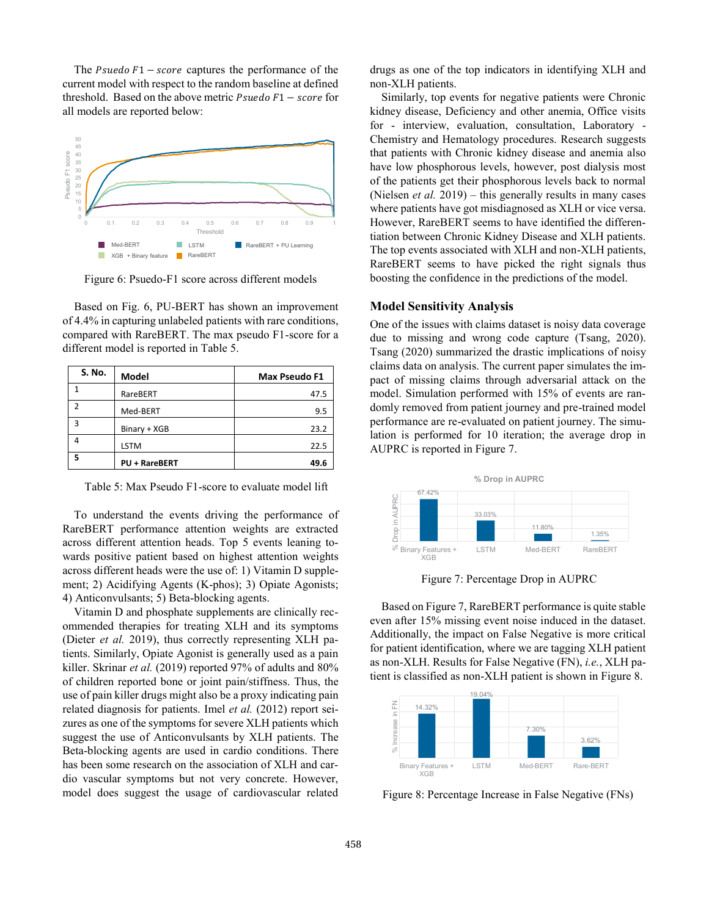The  $Psuedo F1 - score$  captures the performance of the current model with respect to the random baseline at defined threshold. Based on the above metric  $Pseudo F1 - score$  for all models are reported below:



Figure 6: Psuedo-F1 score across different models

Based on Fig. 6, PU-BERT has shown an improvement of 4.4% in capturing unlabeled patients with rare conditions, compared with RareBERT. The max pseudo F1-score for a different model is reported in Table 5.

| S. No. | Model                | <b>Max Pseudo F1</b> |
|--------|----------------------|----------------------|
|        | RareBERT             | 47.5                 |
| っ      | Med-BERT             | 9.5                  |
| 3      | Binary + XGB         | 23.2                 |
| 4      | <b>LSTM</b>          | 22.5                 |
| 5      | <b>PU + RareBERT</b> | 49.6                 |

Table 5: Max Pseudo F1-score to evaluate model lift

To understand the events driving the performance of RareBERT performance attention weights are extracted across different attention heads. Top 5 events leaning towards positive patient based on highest attention weights across different heads were the use of: 1) Vitamin D supplement; 2) Acidifying Agents (K-phos); 3) Opiate Agonists; 4) Anticonvulsants; 5) Beta-blocking agents.

Vitamin D and phosphate supplements are clinically recommended therapies for treating XLH and its symptoms (Dieter *et al.* 2019), thus correctly representing XLH patients. Similarly, Opiate Agonist is generally used as a pain killer. Skrinar *et al.* (2019) reported 97% of adults and 80% of children reported bone or joint pain/stiffness. Thus, the use of pain killer drugs might also be a proxy indicating pain related diagnosis for patients. Imel *et al.* (2012) report seizures as one of the symptoms for severe XLH patients which suggest the use of Anticonvulsants by XLH patients. The Beta-blocking agents are used in cardio conditions. There has been some research on the association of XLH and cardio vascular symptoms but not very concrete. However, model does suggest the usage of cardiovascular related

drugs as one of the top indicators in identifying XLH and non-XLH patients.

Similarly, top events for negative patients were Chronic kidney disease, Deficiency and other anemia, Office visits for - interview, evaluation, consultation, Laboratory - Chemistry and Hematology procedures. Research suggests that patients with Chronic kidney disease and anemia also have low phosphorous levels, however, post dialysis most of the patients get their phosphorous levels back to normal (Nielsen *et al.* 2019) – this generally results in many cases where patients have got misdiagnosed as XLH or vice versa. However, RareBERT seems to have identified the differentiation between Chronic Kidney Disease and XLH patients. The top events associated with XLH and non-XLH patients, RareBERT seems to have picked the right signals thus boosting the confidence in the predictions of the model.

## **Model Sensitivity Analysis**

One of the issues with claims dataset is noisy data coverage due to missing and wrong code capture (Tsang, 2020). Tsang (2020) summarized the drastic implications of noisy claims data on analysis. The current paper simulates the impact of missing claims through adversarial attack on the model. Simulation performed with 15% of events are randomly removed from patient journey and pre-trained model performance are re-evaluated on patient journey. The simulation is performed for 10 iteration; the average drop in AUPRC is reported in Figure 7.



Figure 7: Percentage Drop in AUPRC

Based on Figure 7, RareBERT performance is quite stable even after 15% missing event noise induced in the dataset. Additionally, the impact on False Negative is more critical for patient identification, where we are tagging XLH patient as non-XLH. Results for False Negative (FN), *i.e.*, XLH patient is classified as non-XLH patient is shown in Figure 8.



Figure 8: Percentage Increase in False Negative (FNs)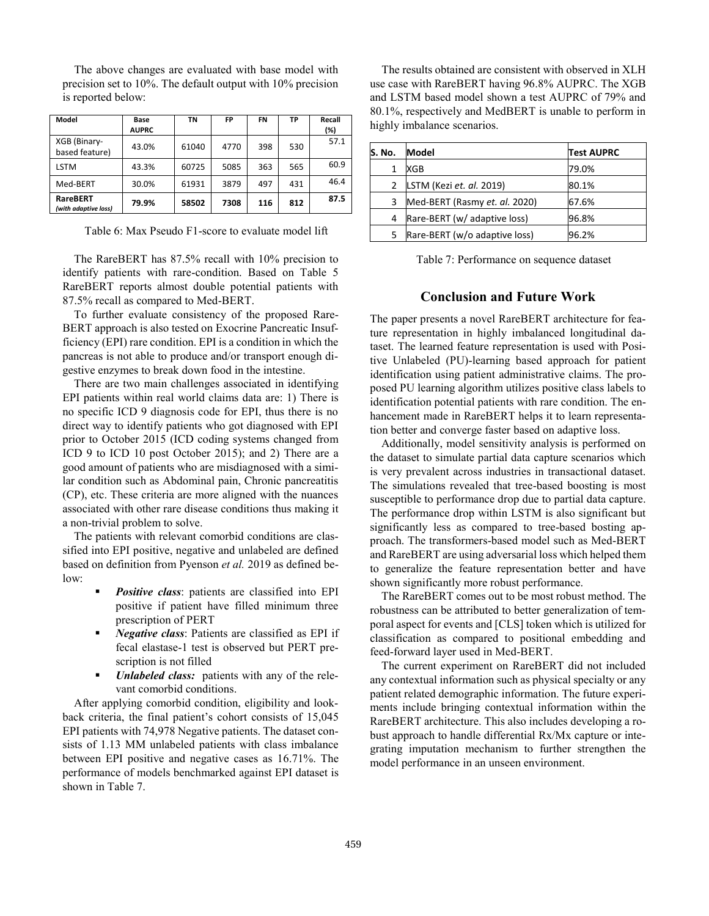The above changes are evaluated with base model with precision set to 10%. The default output with 10% precision is reported below:

| Model                                   | Base<br><b>AUPRC</b> | TN    | FP   | <b>FN</b> | TP  | Recall<br>(%) |
|-----------------------------------------|----------------------|-------|------|-----------|-----|---------------|
| XGB (Binary-<br>based feature)          | 43.0%                | 61040 | 4770 | 398       | 530 | 57.1          |
| <b>LSTM</b>                             | 43.3%                | 60725 | 5085 | 363       | 565 | 60.9          |
| Med-BERT                                | 30.0%                | 61931 | 3879 | 497       | 431 | 46.4          |
| <b>RareBERT</b><br>(with adaptive loss) | 79.9%                | 58502 | 7308 | 116       | 812 | 87.5          |

Table 6: Max Pseudo F1-score to evaluate model lift

The RareBERT has 87.5% recall with 10% precision to identify patients with rare-condition. Based on Table 5 RareBERT reports almost double potential patients with 87.5% recall as compared to Med-BERT.

To further evaluate consistency of the proposed Rare-BERT approach is also tested on Exocrine Pancreatic Insufficiency (EPI) rare condition. EPI is a condition in which the pancreas is not able to produce and/or transport enough digestive enzymes to break down food in the intestine.

There are two main challenges associated in identifying EPI patients within real world claims data are: 1) There is no specific ICD 9 diagnosis code for EPI, thus there is no direct way to identify patients who got diagnosed with EPI prior to October 2015 (ICD coding systems changed from ICD 9 to ICD 10 post October 2015); and 2) There are a good amount of patients who are misdiagnosed with a similar condition such as Abdominal pain, Chronic pancreatitis (CP), etc. These criteria are more aligned with the nuances associated with other rare disease conditions thus making it a non-trivial problem to solve.

The patients with relevant comorbid conditions are classified into EPI positive, negative and unlabeled are defined based on definition from Pyenson *et al.* 2019 as defined below:

- **Positive class:** patients are classified into EPI positive if patient have filled minimum three prescription of PERT
- *Negative class:* Patients are classified as EPI if fecal elastase-1 test is observed but PERT prescription is not filled
- *Unlabeled class:* patients with any of the relevant comorbid conditions.

After applying comorbid condition, eligibility and lookback criteria, the final patient's cohort consists of 15,045 EPI patients with 74,978 Negative patients. The dataset consists of 1.13 MM unlabeled patients with class imbalance between EPI positive and negative cases as 16.71%. The performance of models benchmarked against EPI dataset is shown in Table 7.

The results obtained are consistent with observed in XLH use case with RareBERT having 96.8% AUPRC. The XGB and LSTM based model shown a test AUPRC of 79% and 80.1%, respectively and MedBERT is unable to perform in highly imbalance scenarios.

| lS. No.     | Model                         | <b>Test AUPRC</b> |
|-------------|-------------------------------|-------------------|
| 1           | XGB                           | 79.0%             |
| $2^{\circ}$ | LSTM (Kezi et. al. 2019)      | 80.1%             |
| 3           | Med-BERT (Rasmy et. al. 2020) | 67.6%             |
| 4           | Rare-BERT (w/ adaptive loss)  | 96.8%             |
| 5.          | Rare-BERT (w/o adaptive loss) | 96.2%             |

Table 7: Performance on sequence dataset

#### **Conclusion and Future Work**

The paper presents a novel RareBERT architecture for feature representation in highly imbalanced longitudinal dataset. The learned feature representation is used with Positive Unlabeled (PU)-learning based approach for patient identification using patient administrative claims. The proposed PU learning algorithm utilizes positive class labels to identification potential patients with rare condition. The enhancement made in RareBERT helps it to learn representation better and converge faster based on adaptive loss.

Additionally, model sensitivity analysis is performed on the dataset to simulate partial data capture scenarios which is very prevalent across industries in transactional dataset. The simulations revealed that tree-based boosting is most susceptible to performance drop due to partial data capture. The performance drop within LSTM is also significant but significantly less as compared to tree-based bosting approach. The transformers-based model such as Med-BERT and RareBERT are using adversarial loss which helped them to generalize the feature representation better and have shown significantly more robust performance.

The RareBERT comes out to be most robust method. The robustness can be attributed to better generalization of temporal aspect for events and [CLS] token which is utilized for classification as compared to positional embedding and feed-forward layer used in Med-BERT.

The current experiment on RareBERT did not included any contextual information such as physical specialty or any patient related demographic information. The future experiments include bringing contextual information within the RareBERT architecture. This also includes developing a robust approach to handle differential Rx/Mx capture or integrating imputation mechanism to further strengthen the model performance in an unseen environment.